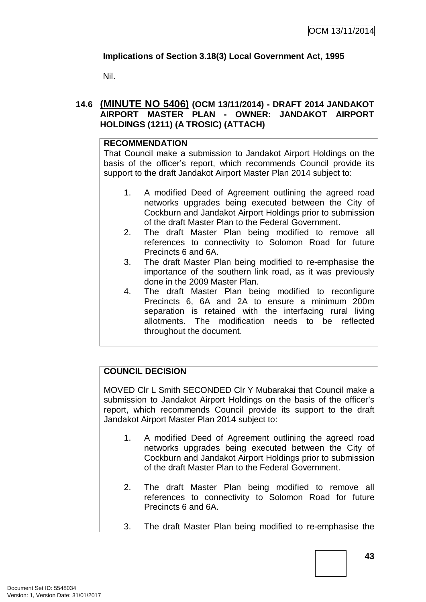# **Implications of Section 3.18(3) Local Government Act, 1995**

Nil.

# **14.6 (MINUTE NO 5406) (OCM 13/11/2014) - DRAFT 2014 JANDAKOT AIRPORT MASTER PLAN - OWNER: JANDAKOT AIRPORT HOLDINGS (1211) (A TROSIC) (ATTACH)**

### **RECOMMENDATION**

That Council make a submission to Jandakot Airport Holdings on the basis of the officer's report, which recommends Council provide its support to the draft Jandakot Airport Master Plan 2014 subject to:

- 1. A modified Deed of Agreement outlining the agreed road networks upgrades being executed between the City of Cockburn and Jandakot Airport Holdings prior to submission of the draft Master Plan to the Federal Government.
- 2. The draft Master Plan being modified to remove all references to connectivity to Solomon Road for future Precincts 6 and 6A.
- 3. The draft Master Plan being modified to re-emphasise the importance of the southern link road, as it was previously done in the 2009 Master Plan.
- 4. The draft Master Plan being modified to reconfigure Precincts 6, 6A and 2A to ensure a minimum 200m separation is retained with the interfacing rural living allotments. The modification needs to be reflected throughout the document.

## **COUNCIL DECISION**

MOVED Clr L Smith SECONDED Clr Y Mubarakai that Council make a submission to Jandakot Airport Holdings on the basis of the officer's report, which recommends Council provide its support to the draft Jandakot Airport Master Plan 2014 subject to:

- 1. A modified Deed of Agreement outlining the agreed road networks upgrades being executed between the City of Cockburn and Jandakot Airport Holdings prior to submission of the draft Master Plan to the Federal Government.
- 2. The draft Master Plan being modified to remove all references to connectivity to Solomon Road for future Precincts 6 and 6A.
- 3. The draft Master Plan being modified to re-emphasise the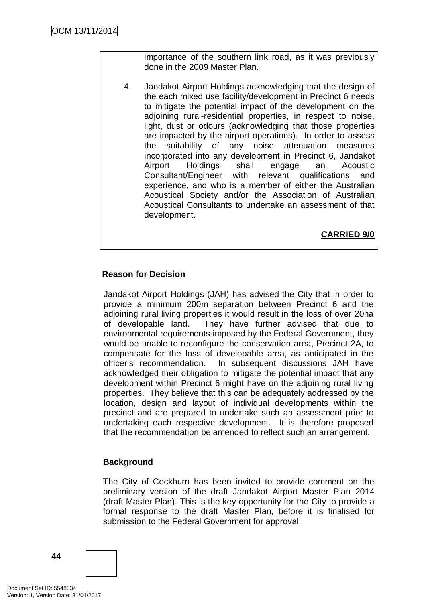importance of the southern link road, as it was previously done in the 2009 Master Plan.

4. Jandakot Airport Holdings acknowledging that the design of the each mixed use facility/development in Precinct 6 needs to mitigate the potential impact of the development on the adjoining rural-residential properties, in respect to noise, light, dust or odours (acknowledging that those properties are impacted by the airport operations). In order to assess the suitability of any noise attenuation measures incorporated into any development in Precinct 6, Jandakot Airport Holdings shall engage an Acoustic Consultant/Engineer with relevant qualifications and experience, and who is a member of either the Australian Acoustical Society and/or the Association of Australian Acoustical Consultants to undertake an assessment of that development.

**CARRIED 9/0**

# **Reason for Decision**

Jandakot Airport Holdings (JAH) has advised the City that in order to provide a minimum 200m separation between Precinct 6 and the adjoining rural living properties it would result in the loss of over 20ha of developable land. They have further advised that due to environmental requirements imposed by the Federal Government, they would be unable to reconfigure the conservation area, Precinct 2A, to compensate for the loss of developable area, as anticipated in the officer's recommendation. In subsequent discussions JAH have acknowledged their obligation to mitigate the potential impact that any development within Precinct 6 might have on the adjoining rural living properties. They believe that this can be adequately addressed by the location, design and layout of individual developments within the precinct and are prepared to undertake such an assessment prior to undertaking each respective development. It is therefore proposed that the recommendation be amended to reflect such an arrangement.

## **Background**

The City of Cockburn has been invited to provide comment on the preliminary version of the draft Jandakot Airport Master Plan 2014 (draft Master Plan). This is the key opportunity for the City to provide a formal response to the draft Master Plan, before it is finalised for submission to the Federal Government for approval.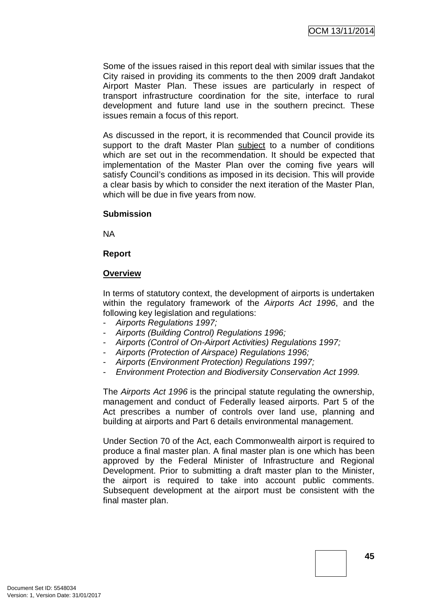Some of the issues raised in this report deal with similar issues that the City raised in providing its comments to the then 2009 draft Jandakot Airport Master Plan. These issues are particularly in respect of transport infrastructure coordination for the site, interface to rural development and future land use in the southern precinct. These issues remain a focus of this report.

As discussed in the report, it is recommended that Council provide its support to the draft Master Plan subject to a number of conditions which are set out in the recommendation. It should be expected that implementation of the Master Plan over the coming five years will satisfy Council's conditions as imposed in its decision. This will provide a clear basis by which to consider the next iteration of the Master Plan, which will be due in five years from now.

### **Submission**

NA

### **Report**

### **Overview**

In terms of statutory context, the development of airports is undertaken within the regulatory framework of the *Airports Act 1996*, and the following key legislation and regulations:

- *Airports Regulations 1997;*
- *Airports (Building Control) Regulations 1996;*
- *Airports (Control of On-Airport Activities) Regulations 1997;*
- *Airports (Protection of Airspace) Regulations 1996;*
- *Airports (Environment Protection) Regulations 1997;*
- *Environment Protection and Biodiversity Conservation Act 1999.*

The *Airports Act 1996* is the principal statute regulating the ownership, management and conduct of Federally leased airports. Part 5 of the Act prescribes a number of controls over land use, planning and building at airports and Part 6 details environmental management.

Under Section 70 of the Act, each Commonwealth airport is required to produce a final master plan. A final master plan is one which has been approved by the Federal Minister of Infrastructure and Regional Development. Prior to submitting a draft master plan to the Minister, the airport is required to take into account public comments. Subsequent development at the airport must be consistent with the final master plan.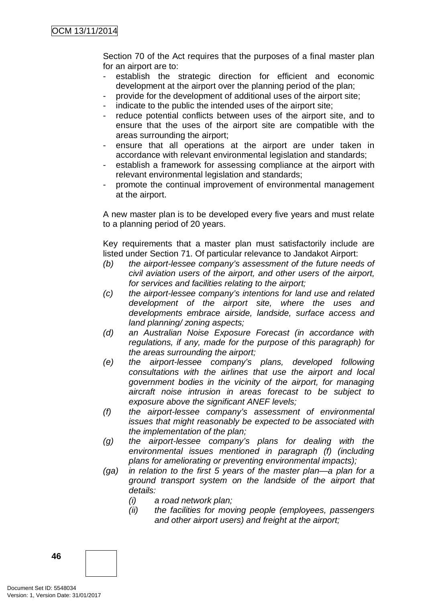Section 70 of the Act requires that the purposes of a final master plan for an airport are to:

- establish the strategic direction for efficient and economic development at the airport over the planning period of the plan;
- provide for the development of additional uses of the airport site;
- indicate to the public the intended uses of the airport site;
- reduce potential conflicts between uses of the airport site, and to ensure that the uses of the airport site are compatible with the areas surrounding the airport;
- ensure that all operations at the airport are under taken in accordance with relevant environmental legislation and standards;
- establish a framework for assessing compliance at the airport with relevant environmental legislation and standards;
- promote the continual improvement of environmental management at the airport.

A new master plan is to be developed every five years and must relate to a planning period of 20 years.

Key requirements that a master plan must satisfactorily include are listed under Section 71. Of particular relevance to Jandakot Airport:

- *(b) the airport-lessee company's assessment of the future needs of civil aviation users of the airport, and other users of the airport, for services and facilities relating to the airport;*
- *(c) the airport-lessee company's intentions for land use and related development of the airport site, where the uses and developments embrace airside, landside, surface access and land planning/ zoning aspects;*
- *(d) an Australian Noise Exposure Forecast (in accordance with regulations, if any, made for the purpose of this paragraph) for the areas surrounding the airport;*
- *(e) the airport-lessee company's plans, developed following consultations with the airlines that use the airport and local government bodies in the vicinity of the airport, for managing aircraft noise intrusion in areas forecast to be subject to exposure above the significant ANEF levels;*
- *(f) the airport-lessee company's assessment of environmental issues that might reasonably be expected to be associated with the implementation of the plan;*
- *(g) the airport-lessee company's plans for dealing with the environmental issues mentioned in paragraph (f) (including plans for ameliorating or preventing environmental impacts);*
- *(ga) in relation to the first 5 years of the master plan—a plan for a ground transport system on the landside of the airport that details:*
	- *(i) a road network plan;*
	- *(ii) the facilities for moving people (employees, passengers and other airport users) and freight at the airport;*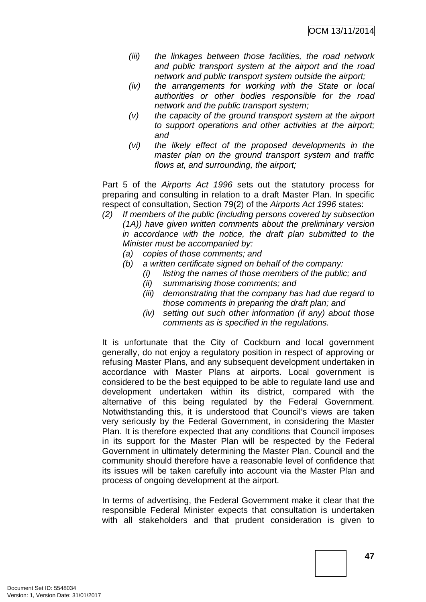- *(iii) the linkages between those facilities, the road network and public transport system at the airport and the road network and public transport system outside the airport;*
- *(iv) the arrangements for working with the State or local authorities or other bodies responsible for the road network and the public transport system;*
- *(v) the capacity of the ground transport system at the airport to support operations and other activities at the airport; and*
- *(vi) the likely effect of the proposed developments in the master plan on the ground transport system and traffic flows at, and surrounding, the airport;*

Part 5 of the *Airports Act 1996* sets out the statutory process for preparing and consulting in relation to a draft Master Plan. In specific respect of consultation, Section 79(2) of the *Airports Act 1996* states:

- *(2) If members of the public (including persons covered by subsection (1A)) have given written comments about the preliminary version in accordance with the notice, the draft plan submitted to the Minister must be accompanied by:*
	- *(a) copies of those comments; and*
	- *(b) a written certificate signed on behalf of the company:*
		- *(i) listing the names of those members of the public; and*
		- *(ii) summarising those comments; and*
		- *(iii) demonstrating that the company has had due regard to those comments in preparing the draft plan; and*
		- *(iv) setting out such other information (if any) about those comments as is specified in the regulations.*

It is unfortunate that the City of Cockburn and local government generally, do not enjoy a regulatory position in respect of approving or refusing Master Plans, and any subsequent development undertaken in accordance with Master Plans at airports. Local government is considered to be the best equipped to be able to regulate land use and development undertaken within its district, compared with the alternative of this being regulated by the Federal Government. Notwithstanding this, it is understood that Council's views are taken very seriously by the Federal Government, in considering the Master Plan. It is therefore expected that any conditions that Council imposes in its support for the Master Plan will be respected by the Federal Government in ultimately determining the Master Plan. Council and the community should therefore have a reasonable level of confidence that its issues will be taken carefully into account via the Master Plan and process of ongoing development at the airport.

In terms of advertising, the Federal Government make it clear that the responsible Federal Minister expects that consultation is undertaken with all stakeholders and that prudent consideration is given to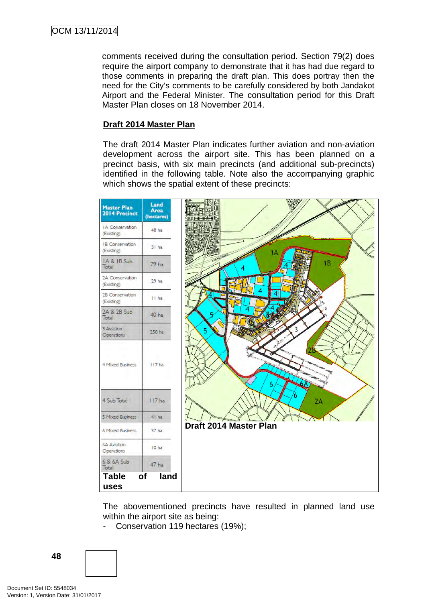comments received during the consultation period. Section 79(2) does require the airport company to demonstrate that it has had due regard to those comments in preparing the draft plan. This does portray then the need for the City's comments to be carefully considered by both Jandakot Airport and the Federal Minister. The consultation period for this Draft Master Plan closes on 18 November 2014.

## **Draft 2014 Master Plan**

The draft 2014 Master Plan indicates further aviation and non-aviation development across the airport site. This has been planned on a precinct basis, with six main precincts (and additional sub-precincts) identified in the following table. Note also the accompanying graphic which shows the spatial extent of these precincts:



The abovementioned precincts have resulted in planned land use within the airport site as being:

- Conservation 119 hectares (19%);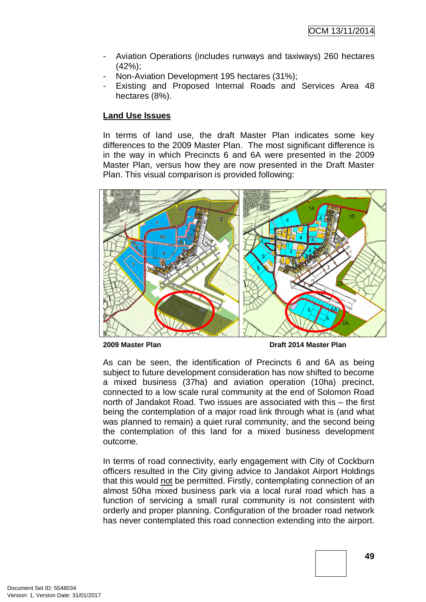- Aviation Operations (includes runways and taxiways) 260 hectares (42%);
- Non-Aviation Development 195 hectares (31%);
- Existing and Proposed Internal Roads and Services Area 48 hectares (8%).

# **Land Use Issues**

In terms of land use, the draft Master Plan indicates some key differences to the 2009 Master Plan. The most significant difference is in the way in which Precincts 6 and 6A were presented in the 2009 Master Plan, versus how they are now presented in the Draft Master Plan. This visual comparison is provided following:



**2009 Master Plan Draft 2014 Master Plan** 

As can be seen, the identification of Precincts 6 and 6A as being subject to future development consideration has now shifted to become a mixed business (37ha) and aviation operation (10ha) precinct, connected to a low scale rural community at the end of Solomon Road north of Jandakot Road. Two issues are associated with this – the first being the contemplation of a major road link through what is (and what was planned to remain) a quiet rural community, and the second being the contemplation of this land for a mixed business development outcome.

In terms of road connectivity, early engagement with City of Cockburn officers resulted in the City giving advice to Jandakot Airport Holdings that this would not be permitted. Firstly, contemplating connection of an almost 50ha mixed business park via a local rural road which has a function of servicing a small rural community is not consistent with orderly and proper planning. Configuration of the broader road network has never contemplated this road connection extending into the airport.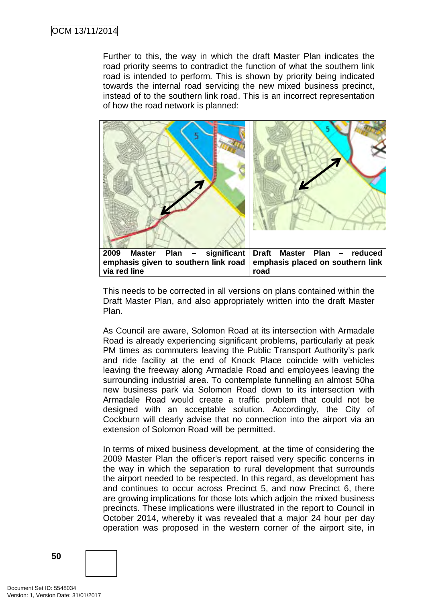Further to this, the way in which the draft Master Plan indicates the road priority seems to contradict the function of what the southern link road is intended to perform. This is shown by priority being indicated towards the internal road servicing the new mixed business precinct, instead of to the southern link road. This is an incorrect representation of how the road network is planned:



This needs to be corrected in all versions on plans contained within the Draft Master Plan, and also appropriately written into the draft Master Plan.

As Council are aware, Solomon Road at its intersection with Armadale Road is already experiencing significant problems, particularly at peak PM times as commuters leaving the Public Transport Authority's park and ride facility at the end of Knock Place coincide with vehicles leaving the freeway along Armadale Road and employees leaving the surrounding industrial area. To contemplate funnelling an almost 50ha new business park via Solomon Road down to its intersection with Armadale Road would create a traffic problem that could not be designed with an acceptable solution. Accordingly, the City of Cockburn will clearly advise that no connection into the airport via an extension of Solomon Road will be permitted.

In terms of mixed business development, at the time of considering the 2009 Master Plan the officer's report raised very specific concerns in the way in which the separation to rural development that surrounds the airport needed to be respected. In this regard, as development has and continues to occur across Precinct 5, and now Precinct 6, there are growing implications for those lots which adjoin the mixed business precincts. These implications were illustrated in the report to Council in October 2014, whereby it was revealed that a major 24 hour per day operation was proposed in the western corner of the airport site, in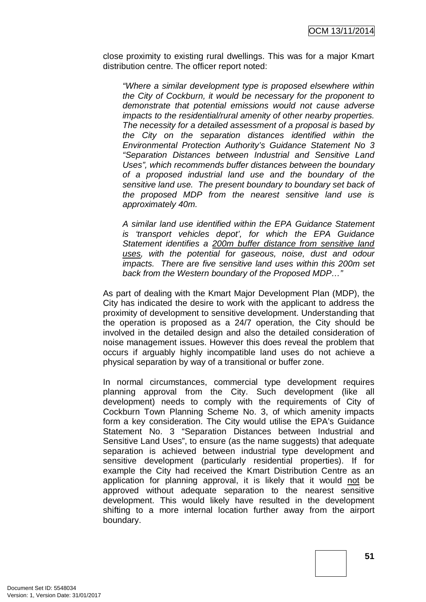close proximity to existing rural dwellings. This was for a major Kmart distribution centre. The officer report noted:

*"Where a similar development type is proposed elsewhere within the City of Cockburn, it would be necessary for the proponent to demonstrate that potential emissions would not cause adverse impacts to the residential/rural amenity of other nearby properties. The necessity for a detailed assessment of a proposal is based by the City on the separation distances identified within the Environmental Protection Authority's Guidance Statement No 3 "Separation Distances between Industrial and Sensitive Land Uses", which recommends buffer distances between the boundary of a proposed industrial land use and the boundary of the sensitive land use. The present boundary to boundary set back of the proposed MDP from the nearest sensitive land use is approximately 40m.*

*A similar land use identified within the EPA Guidance Statement is 'transport vehicles depot', for which the EPA Guidance Statement identifies a 200m buffer distance from sensitive land uses, with the potential for gaseous, noise, dust and odour impacts. There are five sensitive land uses within this 200m set back from the Western boundary of the Proposed MDP…"*

As part of dealing with the Kmart Major Development Plan (MDP), the City has indicated the desire to work with the applicant to address the proximity of development to sensitive development. Understanding that the operation is proposed as a 24/7 operation, the City should be involved in the detailed design and also the detailed consideration of noise management issues. However this does reveal the problem that occurs if arguably highly incompatible land uses do not achieve a physical separation by way of a transitional or buffer zone.

In normal circumstances, commercial type development requires planning approval from the City. Such development (like all development) needs to comply with the requirements of City of Cockburn Town Planning Scheme No. 3, of which amenity impacts form a key consideration. The City would utilise the EPA's Guidance Statement No. 3 "Separation Distances between Industrial and Sensitive Land Uses", to ensure (as the name suggests) that adequate separation is achieved between industrial type development and sensitive development (particularly residential properties). If for example the City had received the Kmart Distribution Centre as an application for planning approval, it is likely that it would not be approved without adequate separation to the nearest sensitive development. This would likely have resulted in the development shifting to a more internal location further away from the airport boundary.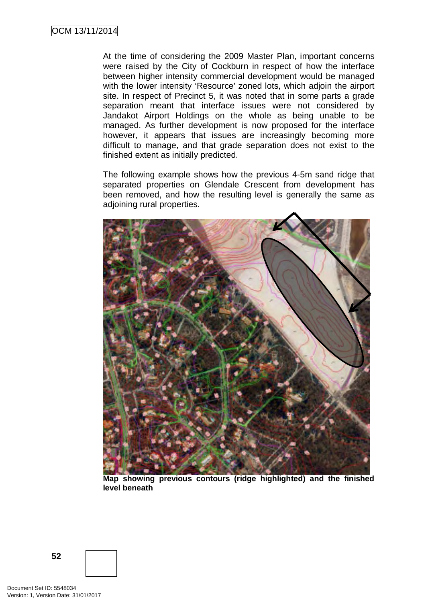At the time of considering the 2009 Master Plan, important concerns were raised by the City of Cockburn in respect of how the interface between higher intensity commercial development would be managed with the lower intensity 'Resource' zoned lots, which adjoin the airport site. In respect of Precinct 5, it was noted that in some parts a grade separation meant that interface issues were not considered by Jandakot Airport Holdings on the whole as being unable to be managed. As further development is now proposed for the interface however, it appears that issues are increasingly becoming more difficult to manage, and that grade separation does not exist to the finished extent as initially predicted.

The following example shows how the previous 4-5m sand ridge that separated properties on Glendale Crescent from development has been removed, and how the resulting level is generally the same as adjoining rural properties.



**Map showing previous contours (ridge highlighted) and the finished level beneath**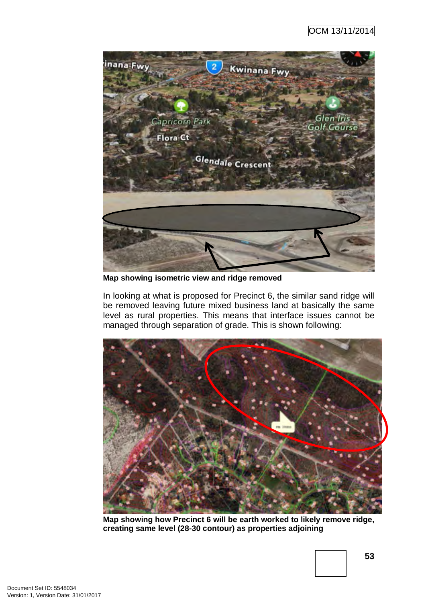

**Map showing isometric view and ridge removed**

In looking at what is proposed for Precinct 6, the similar sand ridge will be removed leaving future mixed business land at basically the same level as rural properties. This means that interface issues cannot be managed through separation of grade. This is shown following:



**Map showing how Precinct 6 will be earth worked to likely remove ridge, creating same level (28-30 contour) as properties adjoining**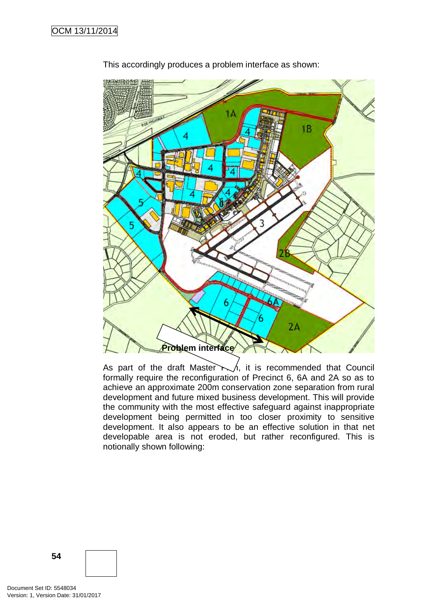

This accordingly produces a problem interface as shown:

As part of the draft Master  $\wedge\wedge$ , it is recommended that Council formally require the reconfiguration of Precinct 6, 6A and 2A so as to achieve an approximate 200m conservation zone separation from rural development and future mixed business development. This will provide the community with the most effective safeguard against inappropriate development being permitted in too closer proximity to sensitive development. It also appears to be an effective solution in that net developable area is not eroded, but rather reconfigured. This is notionally shown following: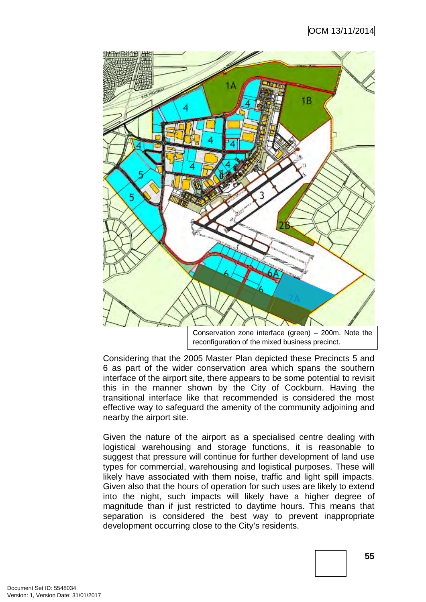# OCM 13/11/2014



reconfiguration of the mixed business precinct.

Considering that the 2005 Master Plan depicted these Precincts 5 and 6 as part of the wider conservation area which spans the southern interface of the airport site, there appears to be some potential to revisit this in the manner shown by the City of Cockburn. Having the transitional interface like that recommended is considered the most effective way to safeguard the amenity of the community adjoining and nearby the airport site.

Given the nature of the airport as a specialised centre dealing with logistical warehousing and storage functions, it is reasonable to suggest that pressure will continue for further development of land use types for commercial, warehousing and logistical purposes. These will likely have associated with them noise, traffic and light spill impacts. Given also that the hours of operation for such uses are likely to extend into the night, such impacts will likely have a higher degree of magnitude than if just restricted to daytime hours. This means that separation is considered the best way to prevent inappropriate development occurring close to the City's residents.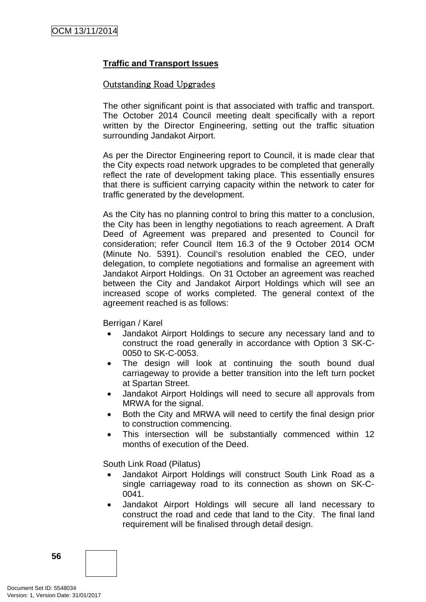# **Traffic and Transport Issues**

# Outstanding Road Upgrades

The other significant point is that associated with traffic and transport. The October 2014 Council meeting dealt specifically with a report written by the Director Engineering, setting out the traffic situation surrounding Jandakot Airport.

As per the Director Engineering report to Council, it is made clear that the City expects road network upgrades to be completed that generally reflect the rate of development taking place. This essentially ensures that there is sufficient carrying capacity within the network to cater for traffic generated by the development.

As the City has no planning control to bring this matter to a conclusion, the City has been in lengthy negotiations to reach agreement. A Draft Deed of Agreement was prepared and presented to Council for consideration; refer Council Item 16.3 of the 9 October 2014 OCM (Minute No. 5391). Council's resolution enabled the CEO, under delegation, to complete negotiations and formalise an agreement with Jandakot Airport Holdings. On 31 October an agreement was reached between the City and Jandakot Airport Holdings which will see an increased scope of works completed. The general context of the agreement reached is as follows:

Berrigan / Karel

- Jandakot Airport Holdings to secure any necessary land and to construct the road generally in accordance with Option 3 SK-C-0050 to SK-C-0053.
- The design will look at continuing the south bound dual carriageway to provide a better transition into the left turn pocket at Spartan Street.
- Jandakot Airport Holdings will need to secure all approvals from MRWA for the signal.
- Both the City and MRWA will need to certify the final design prior to construction commencing.
- This intersection will be substantially commenced within 12 months of execution of the Deed.

South Link Road (Pilatus)

- Jandakot Airport Holdings will construct South Link Road as a single carriageway road to its connection as shown on SK-C-0041.
- Jandakot Airport Holdings will secure all land necessary to construct the road and cede that land to the City. The final land requirement will be finalised through detail design.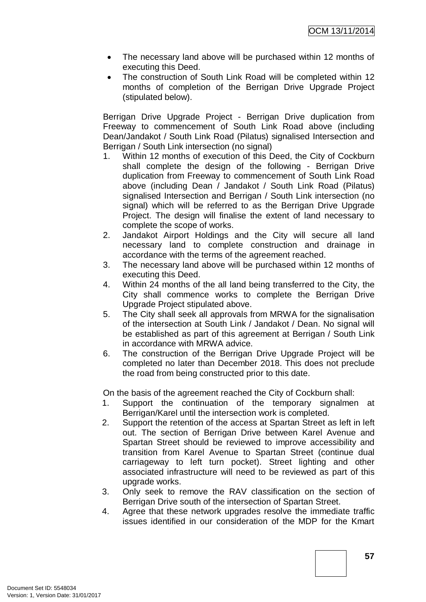- The necessary land above will be purchased within 12 months of executing this Deed.
- The construction of South Link Road will be completed within 12 months of completion of the Berrigan Drive Upgrade Project (stipulated below).

Berrigan Drive Upgrade Project - Berrigan Drive duplication from Freeway to commencement of South Link Road above (including Dean/Jandakot / South Link Road (Pilatus) signalised Intersection and Berrigan / South Link intersection (no signal)

- 1. Within 12 months of execution of this Deed, the City of Cockburn shall complete the design of the following - Berrigan Drive duplication from Freeway to commencement of South Link Road above (including Dean / Jandakot / South Link Road (Pilatus) signalised Intersection and Berrigan / South Link intersection (no signal) which will be referred to as the Berrigan Drive Upgrade Project. The design will finalise the extent of land necessary to complete the scope of works.
- 2. Jandakot Airport Holdings and the City will secure all land necessary land to complete construction and drainage in accordance with the terms of the agreement reached.
- 3. The necessary land above will be purchased within 12 months of executing this Deed.
- 4. Within 24 months of the all land being transferred to the City, the City shall commence works to complete the Berrigan Drive Upgrade Project stipulated above.
- 5. The City shall seek all approvals from MRWA for the signalisation of the intersection at South Link / Jandakot / Dean. No signal will be established as part of this agreement at Berrigan / South Link in accordance with MRWA advice.
- 6. The construction of the Berrigan Drive Upgrade Project will be completed no later than December 2018. This does not preclude the road from being constructed prior to this date.

On the basis of the agreement reached the City of Cockburn shall:

- 1. Support the continuation of the temporary signalmen at Berrigan/Karel until the intersection work is completed.
- 2. Support the retention of the access at Spartan Street as left in left out. The section of Berrigan Drive between Karel Avenue and Spartan Street should be reviewed to improve accessibility and transition from Karel Avenue to Spartan Street (continue dual carriageway to left turn pocket). Street lighting and other associated infrastructure will need to be reviewed as part of this upgrade works.
- 3. Only seek to remove the RAV classification on the section of Berrigan Drive south of the intersection of Spartan Street.
- 4. Agree that these network upgrades resolve the immediate traffic issues identified in our consideration of the MDP for the Kmart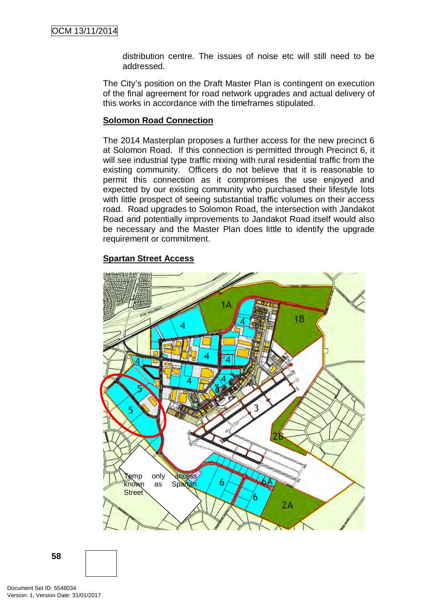distribution centre. The issues of noise etc will still need to be addressed.

The City's position on the Draft Master Plan is contingent on execution of the final agreement for road network upgrades and actual delivery of this works in accordance with the timeframes stipulated.

## **Solomon Road Connection**

The 2014 Masterplan proposes a further access for the new precinct 6 at Solomon Road. If this connection is permitted through Precinct 6, it will see industrial type traffic mixing with rural residential traffic from the existing community. Officers do not believe that it is reasonable to permit this connection as it compromises the use enjoyed and expected by our existing community who purchased their lifestyle lots with little prospect of seeing substantial traffic volumes on their access road. Road upgrades to Solomon Road, the intersection with Jandakot Road and potentially improvements to Jandakot Road itself would also be necessary and the Master Plan does little to identify the upgrade requirement or commitment.

### **Spartan Street Access**

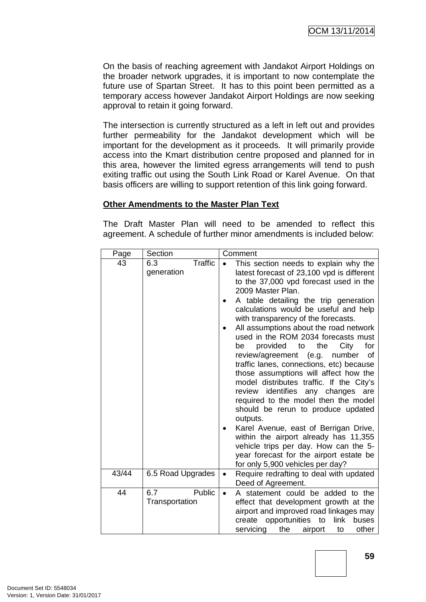On the basis of reaching agreement with Jandakot Airport Holdings on the broader network upgrades, it is important to now contemplate the future use of Spartan Street. It has to this point been permitted as a temporary access however Jandakot Airport Holdings are now seeking approval to retain it going forward.

The intersection is currently structured as a left in left out and provides further permeability for the Jandakot development which will be important for the development as it proceeds. It will primarily provide access into the Kmart distribution centre proposed and planned for in this area, however the limited egress arrangements will tend to push exiting traffic out using the South Link Road or Karel Avenue. On that basis officers are willing to support retention of this link going forward.

## **Other Amendments to the Master Plan Text**

The Draft Master Plan will need to be amended to reflect this agreement. A schedule of further minor amendments is included below:

| Page  | Section                             | Comment                                                                                                                                                                                                                                                                                                                                                                                                                                                                                                                                                                                                                                                                                                                                                                                                                                                                                                                              |
|-------|-------------------------------------|--------------------------------------------------------------------------------------------------------------------------------------------------------------------------------------------------------------------------------------------------------------------------------------------------------------------------------------------------------------------------------------------------------------------------------------------------------------------------------------------------------------------------------------------------------------------------------------------------------------------------------------------------------------------------------------------------------------------------------------------------------------------------------------------------------------------------------------------------------------------------------------------------------------------------------------|
| 43    | <b>Traffic</b><br>6.3<br>generation | This section needs to explain why the<br>latest forecast of 23,100 vpd is different<br>to the 37,000 vpd forecast used in the<br>2009 Master Plan.<br>A table detailing the trip generation<br>calculations would be useful and help<br>with transparency of the forecasts.<br>All assumptions about the road network<br>used in the ROM 2034 forecasts must<br>for<br>provided to<br>the<br>City<br>be<br>review/agreement<br>(e.g.<br>number<br>οf<br>traffic lanes, connections, etc) because<br>those assumptions will affect how the<br>model distributes traffic. If the City's<br>identifies any changes<br>review<br>are<br>required to the model then the model<br>should be rerun to produce updated<br>outputs.<br>Karel Avenue, east of Berrigan Drive,<br>within the airport already has 11,355<br>vehicle trips per day. How can the 5-<br>year forecast for the airport estate be<br>for only 5,900 vehicles per day? |
| 43/44 | 6.5 Road Upgrades                   | Require redrafting to deal with updated<br>$\bullet$<br>Deed of Agreement.                                                                                                                                                                                                                                                                                                                                                                                                                                                                                                                                                                                                                                                                                                                                                                                                                                                           |
| 44    | 6.7<br>Public<br>Transportation     | A statement could be added to the<br>$\bullet$<br>effect that development growth at the<br>airport and improved road linkages may<br>opportunities<br>to<br>link<br>create<br>buses<br>other<br>servicing<br>the<br>airport<br>to                                                                                                                                                                                                                                                                                                                                                                                                                                                                                                                                                                                                                                                                                                    |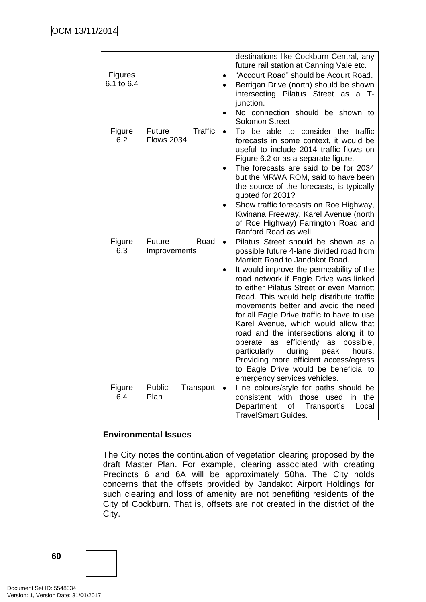|               |                          |           | destinations like Cockburn Central, any<br>future rail station at Canning Vale etc. |
|---------------|--------------------------|-----------|-------------------------------------------------------------------------------------|
| Figures       |                          |           | "Accourt Road" should be Acourt Road.                                               |
| 6.1 to 6.4    |                          |           | Berrigan Drive (north) should be shown                                              |
|               |                          |           | intersecting Pilatus Street as<br>a T-                                              |
|               |                          |           | junction.                                                                           |
|               |                          |           | No connection should be shown to                                                    |
|               |                          |           | <b>Solomon Street</b>                                                               |
| Figure        | <b>Traffic</b><br>Future | $\bullet$ | To be able to consider the traffic                                                  |
| 6.2           | <b>Flows 2034</b>        |           | forecasts in some context, it would be<br>useful to include 2014 traffic flows on   |
|               |                          |           | Figure 6.2 or as a separate figure.                                                 |
|               |                          |           | The forecasts are said to be for 2034                                               |
|               |                          |           | but the MRWA ROM, said to have been                                                 |
|               |                          |           | the source of the forecasts, is typically                                           |
|               |                          |           | quoted for 2031?                                                                    |
|               |                          |           | Show traffic forecasts on Roe Highway,                                              |
|               |                          |           | Kwinana Freeway, Karel Avenue (north                                                |
|               |                          |           | of Roe Highway) Farrington Road and                                                 |
|               | Road<br>Future           |           | Ranford Road as well.                                                               |
| Figure<br>6.3 | Improvements             |           | Pilatus Street should be shown as a<br>possible future 4-lane divided road from     |
|               |                          |           | Marriott Road to Jandakot Road.                                                     |
|               |                          |           | It would improve the permeability of the                                            |
|               |                          |           | road network if Eagle Drive was linked                                              |
|               |                          |           | to either Pilatus Street or even Marriott                                           |
|               |                          |           | Road. This would help distribute traffic                                            |
|               |                          |           | movements better and avoid the need                                                 |
|               |                          |           | for all Eagle Drive traffic to have to use                                          |
|               |                          |           | Karel Avenue, which would allow that<br>road and the intersections along it to      |
|               |                          |           | efficiently<br>operate<br>as<br>possible,<br>as                                     |
|               |                          |           | during<br>particularly<br>peak<br>hours.                                            |
|               |                          |           | Providing more efficient access/egress                                              |
|               |                          |           | to Eagle Drive would be beneficial to                                               |
|               |                          |           | emergency services vehicles.                                                        |
| Figure        | Public<br>Transport      | $\bullet$ | Line colours/style for paths should be                                              |
| 6.4           | Plan                     |           | consistent with<br>those<br>used<br>in the                                          |
|               |                          |           | Department<br>Transport's<br>Local<br>0f                                            |
|               |                          |           | <b>TravelSmart Guides.</b>                                                          |

# **Environmental Issues**

The City notes the continuation of vegetation clearing proposed by the draft Master Plan. For example, clearing associated with creating Precincts 6 and 6A will be approximately 50ha. The City holds concerns that the offsets provided by Jandakot Airport Holdings for such clearing and loss of amenity are not benefiting residents of the City of Cockburn. That is, offsets are not created in the district of the City.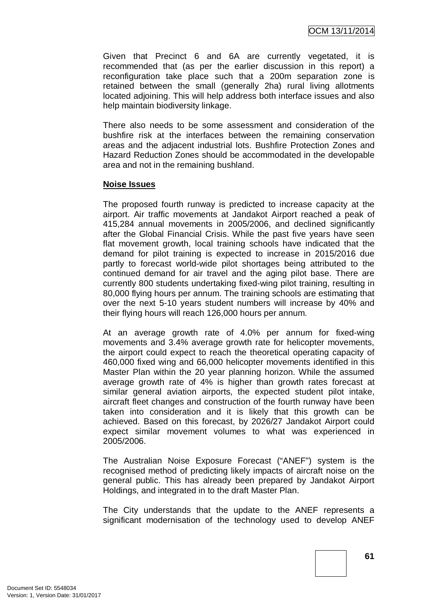Given that Precinct 6 and 6A are currently vegetated, it is recommended that (as per the earlier discussion in this report) a reconfiguration take place such that a 200m separation zone is retained between the small (generally 2ha) rural living allotments located adjoining. This will help address both interface issues and also help maintain biodiversity linkage.

There also needs to be some assessment and consideration of the bushfire risk at the interfaces between the remaining conservation areas and the adjacent industrial lots. Bushfire Protection Zones and Hazard Reduction Zones should be accommodated in the developable area and not in the remaining bushland.

### **Noise Issues**

The proposed fourth runway is predicted to increase capacity at the airport. Air traffic movements at Jandakot Airport reached a peak of 415,284 annual movements in 2005/2006, and declined significantly after the Global Financial Crisis. While the past five years have seen flat movement growth, local training schools have indicated that the demand for pilot training is expected to increase in 2015/2016 due partly to forecast world-wide pilot shortages being attributed to the continued demand for air travel and the aging pilot base. There are currently 800 students undertaking fixed-wing pilot training, resulting in 80,000 flying hours per annum. The training schools are estimating that over the next 5-10 years student numbers will increase by 40% and their flying hours will reach 126,000 hours per annum.

At an average growth rate of 4.0% per annum for fixed-wing movements and 3.4% average growth rate for helicopter movements, the airport could expect to reach the theoretical operating capacity of 460,000 fixed wing and 66,000 helicopter movements identified in this Master Plan within the 20 year planning horizon. While the assumed average growth rate of 4% is higher than growth rates forecast at similar general aviation airports, the expected student pilot intake, aircraft fleet changes and construction of the fourth runway have been taken into consideration and it is likely that this growth can be achieved. Based on this forecast, by 2026/27 Jandakot Airport could expect similar movement volumes to what was experienced in 2005/2006.

The Australian Noise Exposure Forecast ("ANEF") system is the recognised method of predicting likely impacts of aircraft noise on the general public. This has already been prepared by Jandakot Airport Holdings, and integrated in to the draft Master Plan.

The City understands that the update to the ANEF represents a significant modernisation of the technology used to develop ANEF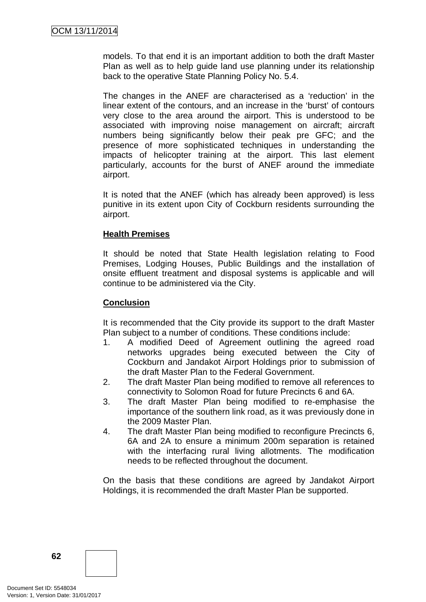models. To that end it is an important addition to both the draft Master Plan as well as to help guide land use planning under its relationship back to the operative State Planning Policy No. 5.4.

The changes in the ANEF are characterised as a 'reduction' in the linear extent of the contours, and an increase in the 'burst' of contours very close to the area around the airport. This is understood to be associated with improving noise management on aircraft; aircraft numbers being significantly below their peak pre GFC; and the presence of more sophisticated techniques in understanding the impacts of helicopter training at the airport. This last element particularly, accounts for the burst of ANEF around the immediate airport.

It is noted that the ANEF (which has already been approved) is less punitive in its extent upon City of Cockburn residents surrounding the airport.

## **Health Premises**

It should be noted that State Health legislation relating to Food Premises, Lodging Houses, Public Buildings and the installation of onsite effluent treatment and disposal systems is applicable and will continue to be administered via the City.

# **Conclusion**

It is recommended that the City provide its support to the draft Master Plan subject to a number of conditions. These conditions include:

- 1. A modified Deed of Agreement outlining the agreed road networks upgrades being executed between the City of Cockburn and Jandakot Airport Holdings prior to submission of the draft Master Plan to the Federal Government.
- 2. The draft Master Plan being modified to remove all references to connectivity to Solomon Road for future Precincts 6 and 6A.
- 3. The draft Master Plan being modified to re-emphasise the importance of the southern link road, as it was previously done in the 2009 Master Plan.
- 4. The draft Master Plan being modified to reconfigure Precincts 6, 6A and 2A to ensure a minimum 200m separation is retained with the interfacing rural living allotments. The modification needs to be reflected throughout the document.

On the basis that these conditions are agreed by Jandakot Airport Holdings, it is recommended the draft Master Plan be supported.